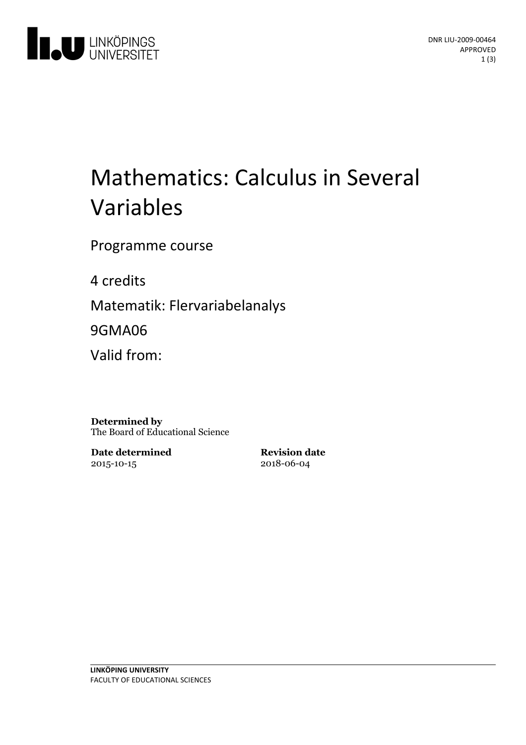

# Mathematics: Calculus in Several Variables

Programme course

4 credits

Matematik: Flervariabelanalys

9GMA06

Valid from:

**Determined by** The Board of Educational Science

**Date determined** 2015-10-15

**Revision date** 2018-06-04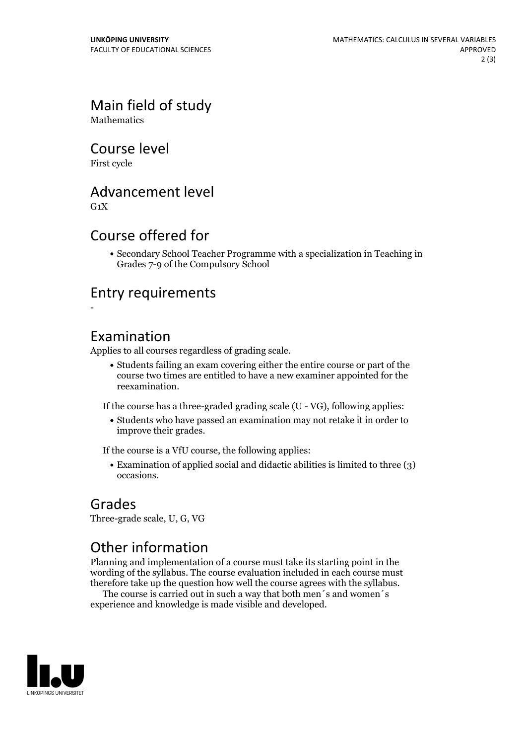## Main field of study

**Mathematics** 

#### Course level

First cycle

#### Advancement level

 $G_1X$ 

#### Course offered for

Secondary School Teacher Programme with a specialization in Teaching in Grades 7-9 of the Compulsory School

#### Entry requirements

-

#### Examination

Applies to all courses regardless of grading scale.

Students failing an exam covering either the entire course or part of the course two times are entitled to have a new examiner appointed for the reexamination.

If the course has a three-graded grading scale (U - VG), following applies:

Students who have passed an examination may not retake it in order to improve their grades.

If the course is a VfU course, the following applies:

• Examination of applied social and didactic abilities is limited to three (3) occasions.

#### Grades

Three-grade scale, U, G, VG

### Other information

Planning and implementation of a course must take its starting point in the wording of the syllabus. The course evaluation included in each course must therefore take up the question how well the course agrees with the syllabus. The course is carried outin such <sup>a</sup> way that both men´s and women´s

experience and knowledge is made visible and developed.